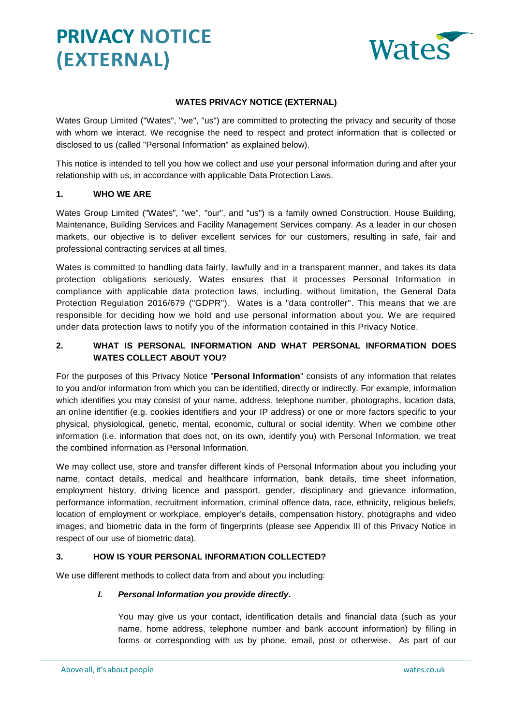

## **WATES PRIVACY NOTICE (EXTERNAL)**

Wates Group Limited ("Wates", "we", "us") are committed to protecting the privacy and security of those with whom we interact. We recognise the need to respect and protect information that is collected or disclosed to us (called "Personal Information" as explained below).

This notice is intended to tell you how we collect and use your personal information during and after your relationship with us, in accordance with applicable Data Protection Laws.

## **1. WHO WE ARE**

Wates Group Limited ("Wates", "we", "our", and "us") is a family owned Construction, House Building, Maintenance, Building Services and Facility Management Services company. As a leader in our chosen markets, our objective is to deliver excellent services for our customers, resulting in safe, fair and professional contracting services at all times.

Wates is committed to handling data fairly, lawfully and in a transparent manner, and takes its data protection obligations seriously. Wates ensures that it processes Personal Information in compliance with applicable data protection laws, including, without limitation, the General Data Protection Regulation 2016/679 ("GDPR"). Wates is a "data controller". This means that we are responsible for deciding how we hold and use personal information about you. We are required under data protection laws to notify you of the information contained in this Privacy Notice.

## **2. WHAT IS PERSONAL INFORMATION AND WHAT PERSONAL INFORMATION DOES WATES COLLECT ABOUT YOU?**

For the purposes of this Privacy Notice "**Personal Information**" consists of any information that relates to you and/or information from which you can be identified, directly or indirectly. For example, information which identifies you may consist of your name, address, telephone number, photographs, location data, an online identifier (e.g. cookies identifiers and your IP address) or one or more factors specific to your physical, physiological, genetic, mental, economic, cultural or social identity. When we combine other information (i.e. information that does not, on its own, identify you) with Personal Information, we treat the combined information as Personal Information.

We may collect use, store and transfer different kinds of Personal Information about you including your name, contact details, medical and healthcare information, bank details, time sheet information, employment history, driving licence and passport, gender, disciplinary and grievance information, performance information, recruitment information, criminal offence data, race, ethnicity, religious beliefs, location of employment or workplace, employer's details, compensation history, photographs and video images, and biometric data in the form of fingerprints (please see Appendix III of this Privacy Notice in respect of our use of biometric data).

## **3. HOW IS YOUR PERSONAL INFORMATION COLLECTED?**

We use different methods to collect data from and about you including:

### *I. Personal Information you provide directly***.**

You may give us your contact, identification details and financial data (such as your name, home address, telephone number and bank account information) by filling in forms or corresponding with us by phone, email, post or otherwise. As part of our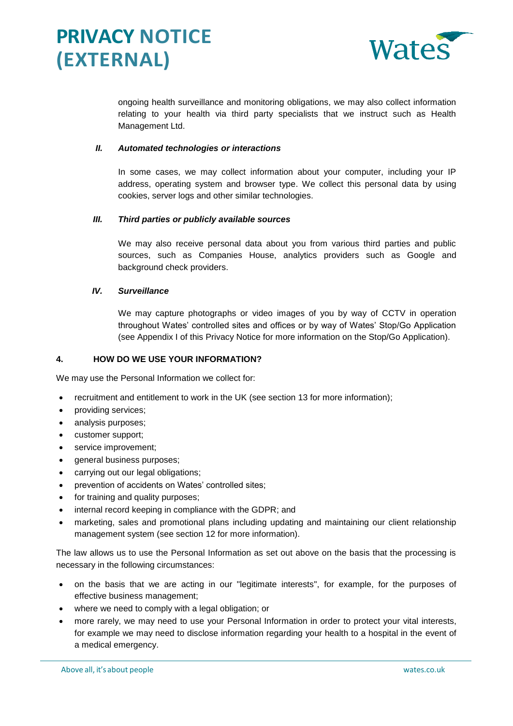

ongoing health surveillance and monitoring obligations, we may also collect information relating to your health via third party specialists that we instruct such as Health Management Ltd.

## *II. Automated technologies or interactions*

In some cases, we may collect information about your computer, including your IP address, operating system and browser type. We collect this personal data by using cookies, server logs and other similar technologies.

### *III. Third parties or publicly available sources*

We may also receive personal data about you from various third parties and public sources, such as Companies House, analytics providers such as Google and background check providers.

### *IV. Surveillance*

We may capture photographs or video images of you by way of CCTV in operation throughout Wates' controlled sites and offices or by way of Wates' Stop/Go Application (see Appendix I of this Privacy Notice for more information on the Stop/Go Application).

### **4. HOW DO WE USE YOUR INFORMATION?**

We may use the Personal Information we collect for:

- recruitment and entitlement to work in the UK (see section [13](#page-5-0) for more information);
- providing services;
- analysis purposes;
- customer support;
- service improvement;
- general business purposes;
- carrying out our legal obligations;
- prevention of accidents on Wates' controlled sites;
- for training and quality purposes;
- internal record keeping in compliance with the GDPR; and
- marketing, sales and promotional plans including updating and maintaining our client relationship management system (see section [12](#page-5-1) for more information).

The law allows us to use the Personal Information as set out above on the basis that the processing is necessary in the following circumstances:

- on the basis that we are acting in our "legitimate interests", for example, for the purposes of effective business management;
- where we need to comply with a legal obligation; or
- more rarely, we may need to use your Personal Information in order to protect your vital interests, for example we may need to disclose information regarding your health to a hospital in the event of a medical emergency.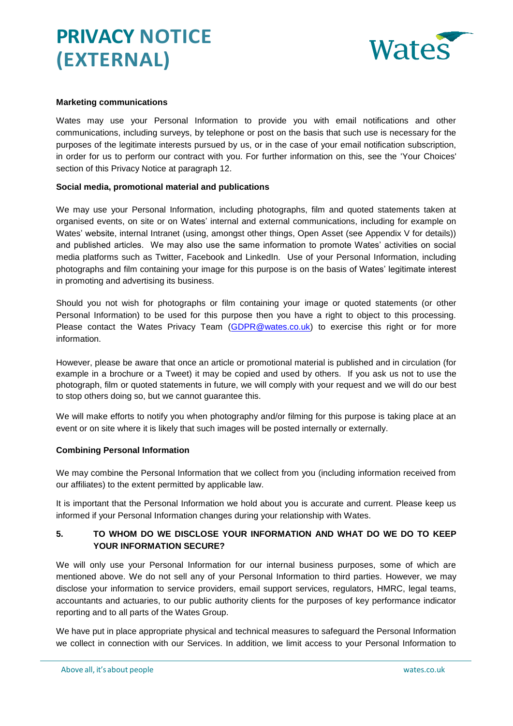

### **Marketing communications**

Wates may use your Personal Information to provide you with email notifications and other communications, including surveys, by telephone or post on the basis that such use is necessary for the purposes of the legitimate interests pursued by us, or in the case of your email notification subscription, in order for us to perform our contract with you. For further information on this, see the 'Your Choices' section of this Privacy Notice at paragraph 12.

#### **Social media, promotional material and publications**

We may use your Personal Information, including photographs, film and quoted statements taken at organised events, on site or on Wates' internal and external communications, including for example on Wates' website, internal Intranet (using, amongst other things, Open Asset (see Appendix V for details)) and published articles. We may also use the same information to promote Wates' activities on social media platforms such as Twitter, Facebook and LinkedIn. Use of your Personal Information, including photographs and film containing your image for this purpose is on the basis of Wates' legitimate interest in promoting and advertising its business.

Should you not wish for photographs or film containing your image or quoted statements (or other Personal Information) to be used for this purpose then you have a right to object to this processing. Please contact the Wates Privacy Team [\(GDPR@wates.co.uk\)](mailto:GDPR@wates.co.uk) to exercise this right or for more information.

However, please be aware that once an article or promotional material is published and in circulation (for example in a brochure or a Tweet) it may be copied and used by others. If you ask us not to use the photograph, film or quoted statements in future, we will comply with your request and we will do our best to stop others doing so, but we cannot guarantee this.

We will make efforts to notify you when photography and/or filming for this purpose is taking place at an event or on site where it is likely that such images will be posted internally or externally.

### **Combining Personal Information**

We may combine the Personal Information that we collect from you (including information received from our affiliates) to the extent permitted by applicable law.

It is important that the Personal Information we hold about you is accurate and current. Please keep us informed if your Personal Information changes during your relationship with Wates.

## <span id="page-2-0"></span>**5. TO WHOM DO WE DISCLOSE YOUR INFORMATION AND WHAT DO WE DO TO KEEP YOUR INFORMATION SECURE?**

We will only use your Personal Information for our internal business purposes, some of which are mentioned above. We do not sell any of your Personal Information to third parties. However, we may disclose your information to service providers, email support services, regulators, HMRC, legal teams, accountants and actuaries, to our public authority clients for the purposes of key performance indicator reporting and to all parts of the Wates Group.

We have put in place appropriate physical and technical measures to safeguard the Personal Information we collect in connection with our Services. In addition, we limit access to your Personal Information to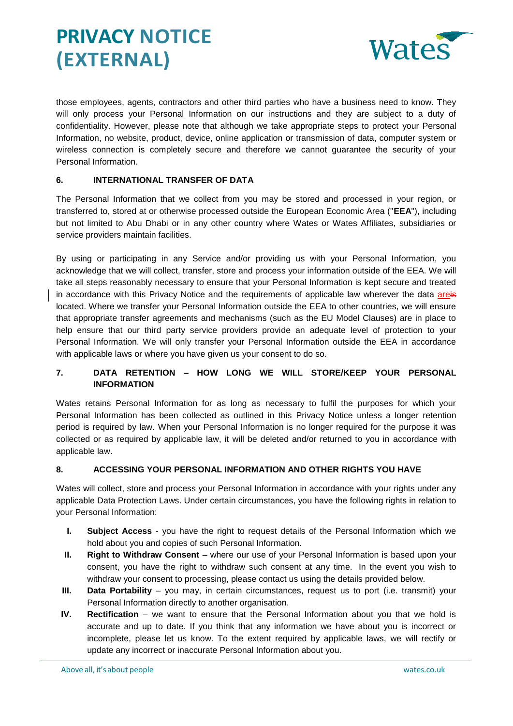

those employees, agents, contractors and other third parties who have a business need to know. They will only process your Personal Information on our instructions and they are subject to a duty of confidentiality. However, please note that although we take appropriate steps to protect your Personal Information, no website, product, device, online application or transmission of data, computer system or wireless connection is completely secure and therefore we cannot guarantee the security of your Personal Information.

## **6. INTERNATIONAL TRANSFER OF DATA**

The Personal Information that we collect from you may be stored and processed in your region, or transferred to, stored at or otherwise processed outside the European Economic Area ("**EEA**"), including but not limited to Abu Dhabi or in any other country where Wates or Wates Affiliates, subsidiaries or service providers maintain facilities.

By using or participating in any Service and/or providing us with your Personal Information, you acknowledge that we will collect, transfer, store and process your information outside of the EEA. We will take all steps reasonably necessary to ensure that your Personal Information is kept secure and treated in accordance with this Privacy Notice and the requirements of applicable law wherever the data areis located. Where we transfer your Personal Information outside the EEA to other countries, we will ensure that appropriate transfer agreements and mechanisms (such as the EU Model Clauses) are in place to help ensure that our third party service providers provide an adequate level of protection to your Personal Information. We will only transfer your Personal Information outside the EEA in accordance with applicable laws or where you have given us your consent to do so.

## <span id="page-3-1"></span>**7. DATA RETENTION – HOW LONG WE WILL STORE/KEEP YOUR PERSONAL INFORMATION**

Wates retains Personal Information for as long as necessary to fulfil the purposes for which your Personal Information has been collected as outlined in this Privacy Notice unless a longer retention period is required by law. When your Personal Information is no longer required for the purpose it was collected or as required by applicable law, it will be deleted and/or returned to you in accordance with applicable law.

## <span id="page-3-0"></span>**8. ACCESSING YOUR PERSONAL INFORMATION AND OTHER RIGHTS YOU HAVE**

Wates will collect, store and process your Personal Information in accordance with your rights under any applicable Data Protection Laws. Under certain circumstances, you have the following rights in relation to your Personal Information:

- **I. Subject Access** you have the right to request details of the Personal Information which we hold about you and copies of such Personal Information.
- **II.** Right to Withdraw Consent where our use of your Personal Information is based upon your consent, you have the right to withdraw such consent at any time. In the event you wish to withdraw your consent to processing, please contact us using the details provided below.
- **III.** Data Portability you may, in certain circumstances, request us to port (i.e. transmit) your Personal Information directly to another organisation.
- **IV. Rectification** we want to ensure that the Personal Information about you that we hold is accurate and up to date. If you think that any information we have about you is incorrect or incomplete, please let us know. To the extent required by applicable laws, we will rectify or update any incorrect or inaccurate Personal Information about you.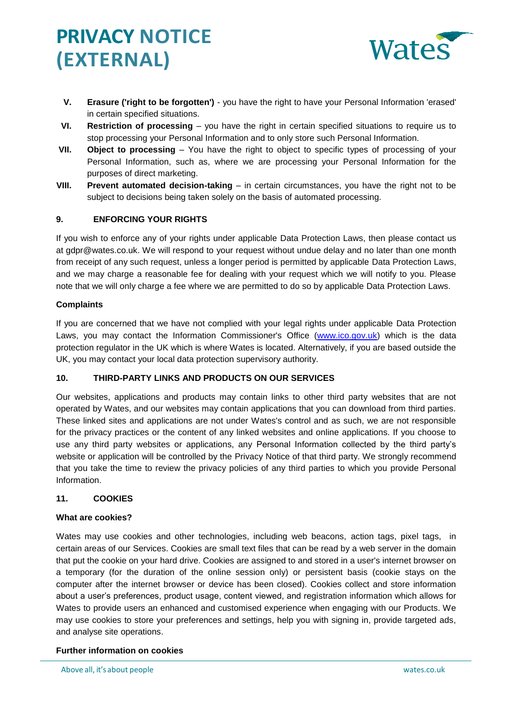

- **V. Erasure ('right to be forgotten')** you have the right to have your Personal Information 'erased' in certain specified situations.
- **VI. Restriction of processing** you have the right in certain specified situations to require us to stop processing your Personal Information and to only store such Personal Information.
- **VII. Object to processing**  You have the right to object to specific types of processing of your Personal Information, such as, where we are processing your Personal Information for the purposes of direct marketing.
- **VIII. Prevent automated decision-taking** in certain circumstances, you have the right not to be subject to decisions being taken solely on the basis of automated processing.

## **9. ENFORCING YOUR RIGHTS**

If you wish to enforce any of your rights under applicable Data Protection Laws, then please contact us at gdpr@wates.co.uk. We will respond to your request without undue delay and no later than one month from receipt of any such request, unless a longer period is permitted by applicable Data Protection Laws, and we may charge a reasonable fee for dealing with your request which we will notify to you. Please note that we will only charge a fee where we are permitted to do so by applicable Data Protection Laws.

### **Complaints**

If you are concerned that we have not complied with your legal rights under applicable Data Protection Laws, you may contact the Information Commissioner's Office [\(www.ico.gov.uk\)](http://www.ico.gov.uk/) which is the data protection regulator in the UK which is where Wates is located. Alternatively, if you are based outside the UK, you may contact your local data protection supervisory authority.

## **10. THIRD-PARTY LINKS AND PRODUCTS ON OUR SERVICES**

Our websites, applications and products may contain links to other third party websites that are not operated by Wates, and our websites may contain applications that you can download from third parties. These linked sites and applications are not under Wates's control and as such, we are not responsible for the privacy practices or the content of any linked websites and online applications. If you choose to use any third party websites or applications, any Personal Information collected by the third party's website or application will be controlled by the Privacy Notice of that third party. We strongly recommend that you take the time to review the privacy policies of any third parties to which you provide Personal Information.

## **11. COOKIES**

### **What are cookies?**

Wates may use cookies and other technologies, including web beacons, action tags, pixel tags, in certain areas of our Services. Cookies are small text files that can be read by a web server in the domain that put the cookie on your hard drive. Cookies are assigned to and stored in a user's internet browser on a temporary (for the duration of the online session only) or persistent basis (cookie stays on the computer after the internet browser or device has been closed). Cookies collect and store information about a user's preferences, product usage, content viewed, and registration information which allows for Wates to provide users an enhanced and customised experience when engaging with our Products. We may use cookies to store your preferences and settings, help you with signing in, provide targeted ads, and analyse site operations.

### **Further information on cookies**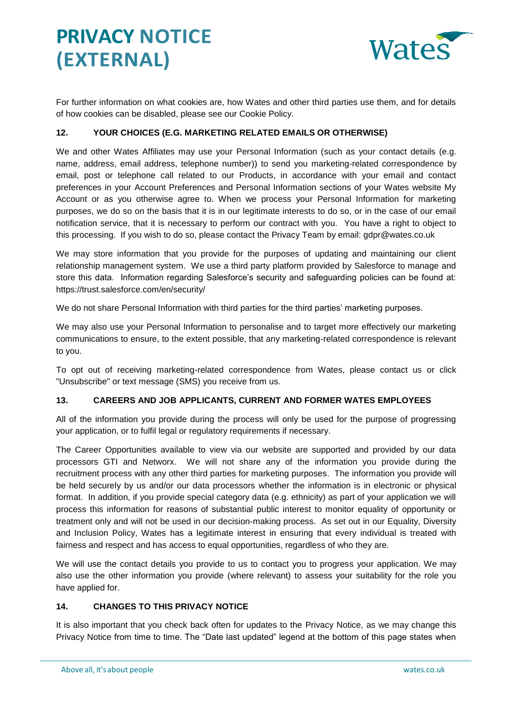

For further information on what cookies are, how Wates and other third parties use them, and for details of how cookies can be disabled, please see our Cookie Policy.

## <span id="page-5-1"></span>**12. YOUR CHOICES (E.G. MARKETING RELATED EMAILS OR OTHERWISE)**

We and other Wates Affiliates may use your Personal Information (such as your contact details (e.g. name, address, email address, telephone number)) to send you marketing-related correspondence by email, post or telephone call related to our Products, in accordance with your email and contact preferences in your Account Preferences and Personal Information sections of your Wates website My Account or as you otherwise agree to. When we process your Personal Information for marketing purposes, we do so on the basis that it is in our legitimate interests to do so, or in the case of our email notification service, that it is necessary to perform our contract with you. You have a right to object to this processing. If you wish to do so, please contact the Privacy Team by email: gdpr@wates.co.uk

We may store information that you provide for the purposes of updating and maintaining our client relationship management system. We use a third party platform provided by Salesforce to manage and store this data. Information regarding Salesforce's security and safeguarding policies can be found at: https://trust.salesforce.com/en/security/

We do not share Personal Information with third parties for the third parties' marketing purposes.

We may also use your Personal Information to personalise and to target more effectively our marketing communications to ensure, to the extent possible, that any marketing-related correspondence is relevant to you.

To opt out of receiving marketing-related correspondence from Wates, please contact us or click "Unsubscribe" or text message (SMS) you receive from us.

## <span id="page-5-0"></span>**13. CAREERS AND JOB APPLICANTS, CURRENT AND FORMER WATES EMPLOYEES**

All of the information you provide during the process will only be used for the purpose of progressing your application, or to fulfil legal or regulatory requirements if necessary.

The Career Opportunities available to view via our website are supported and provided by our data processors GTI and Networx. We will not share any of the information you provide during the recruitment process with any other third parties for marketing purposes. The information you provide will be held securely by us and/or our data processors whether the information is in electronic or physical format. In addition, if you provide special category data (e.g. ethnicity) as part of your application we will process this information for reasons of substantial public interest to monitor equality of opportunity or treatment only and will not be used in our decision-making process. As set out in our Equality, Diversity and Inclusion Policy, Wates has a legitimate interest in ensuring that every individual is treated with fairness and respect and has access to equal opportunities, regardless of who they are.

We will use the contact details you provide to us to contact you to progress your application. We may also use the other information you provide (where relevant) to assess your suitability for the role you have applied for.

### **14. CHANGES TO THIS PRIVACY NOTICE**

It is also important that you check back often for updates to the Privacy Notice, as we may change this Privacy Notice from time to time. The "Date last updated" legend at the bottom of this page states when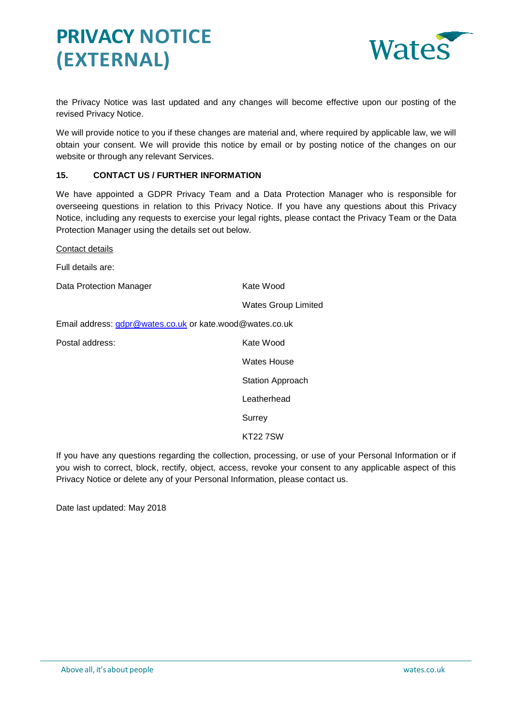

the Privacy Notice was last updated and any changes will become effective upon our posting of the revised Privacy Notice.

We will provide notice to you if these changes are material and, where required by applicable law, we will obtain your consent. We will provide this notice by email or by posting notice of the changes on our website or through any relevant Services.

## **15. CONTACT US / FURTHER INFORMATION**

We have appointed a GDPR Privacy Team and a Data Protection Manager who is responsible for overseeing questions in relation to this Privacy Notice. If you have any questions about this Privacy Notice, including any requests to exercise your legal rights, please contact the Privacy Team or the Data Protection Manager using the details set out below.

Contact details

Full details are:

Data Protection Manager Kate Wood

Wates Group Limited

Email address: [gdpr@wates.co.uk](mailto:gdpr@wates.co.uk) or kate.wood@wates.co.uk

Postal address:

| Kate Wood        |
|------------------|
| Wates House      |
| Station Approach |
| I eatherhead     |
| Surrey           |
| KT22 7.SW        |

If you have any questions regarding the collection, processing, or use of your Personal Information or if you wish to correct, block, rectify, object, access, revoke your consent to any applicable aspect of this Privacy Notice or delete any of your Personal Information, please contact us.

Date last updated: May 2018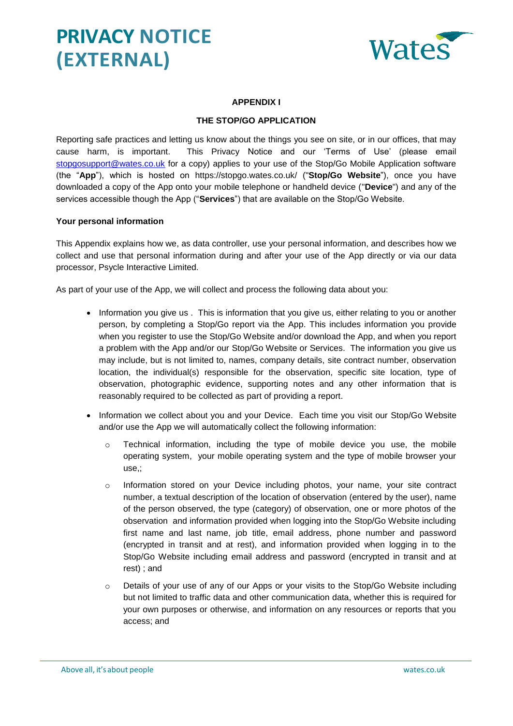

## **APPENDIX I**

## **THE STOP/GO APPLICATION**

Reporting safe practices and letting us know about the things you see on site, or in our offices, that may cause harm, is important. This Privacy Notice and our 'Terms of Use' (please email [stopgosupport@wates.co.uk](mailto:stopgosupport@wates.co.uk) for a copy) applies to your use of the Stop/Go Mobile Application software (the "**App**"), which is hosted on https://stopgo.wates.co.uk/ ("**Stop/Go Website**"), once you have downloaded a copy of the App onto your mobile telephone or handheld device ("**Device**") and any of the services accessible though the App ("**Services**") that are available on the Stop/Go Website.

#### **Your personal information**

This Appendix explains how we, as data controller, use your personal information, and describes how we collect and use that personal information during and after your use of the App directly or via our data processor, Psycle Interactive Limited.

As part of your use of the App, we will collect and process the following data about you:

- Information you give us . This is information that you give us, either relating to you or another person, by completing a Stop/Go report via the App. This includes information you provide when you register to use the Stop/Go Website and/or download the App, and when you report a problem with the App and/or our Stop/Go Website or Services. The information you give us may include, but is not limited to, names, company details, site contract number, observation location, the individual(s) responsible for the observation, specific site location, type of observation, photographic evidence, supporting notes and any other information that is reasonably required to be collected as part of providing a report.
- Information we collect about you and your Device. Each time you visit our Stop/Go Website and/or use the App we will automatically collect the following information:
	- $\circ$  Technical information, including the type of mobile device you use, the mobile operating system, your mobile operating system and the type of mobile browser your use,;
	- o Information stored on your Device including photos, your name, your site contract number, a textual description of the location of observation (entered by the user), name of the person observed, the type (category) of observation, one or more photos of the observation and information provided when logging into the Stop/Go Website including first name and last name, job title, email address, phone number and password (encrypted in transit and at rest), and information provided when logging in to the Stop/Go Website including email address and password (encrypted in transit and at rest) ; and
	- o Details of your use of any of our Apps or your visits to the Stop/Go Website including but not limited to traffic data and other communication data, whether this is required for your own purposes or otherwise, and information on any resources or reports that you access; and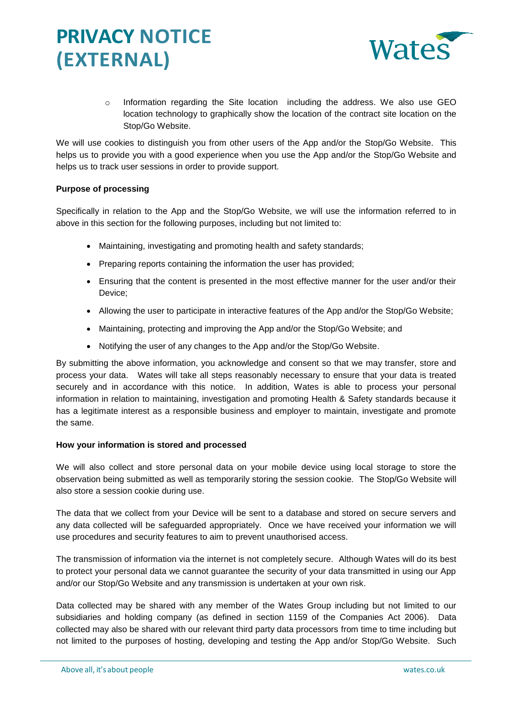

o Information regarding the Site location including the address. We also use GEO location technology to graphically show the location of the contract site location on the Stop/Go Website.

We will use cookies to distinguish you from other users of the App and/or the Stop/Go Website. This helps us to provide you with a good experience when you use the App and/or the Stop/Go Website and helps us to track user sessions in order to provide support.

### **Purpose of processing**

Specifically in relation to the App and the Stop/Go Website, we will use the information referred to in above in this section for the following purposes, including but not limited to:

- Maintaining, investigating and promoting health and safety standards;
- Preparing reports containing the information the user has provided;
- Ensuring that the content is presented in the most effective manner for the user and/or their Device;
- Allowing the user to participate in interactive features of the App and/or the Stop/Go Website;
- Maintaining, protecting and improving the App and/or the Stop/Go Website; and
- Notifying the user of any changes to the App and/or the Stop/Go Website.

By submitting the above information, you acknowledge and consent so that we may transfer, store and process your data. Wates will take all steps reasonably necessary to ensure that your data is treated securely and in accordance with this notice. In addition, Wates is able to process your personal information in relation to maintaining, investigation and promoting Health & Safety standards because it has a legitimate interest as a responsible business and employer to maintain, investigate and promote the same.

### **How your information is stored and processed**

We will also collect and store personal data on your mobile device using local storage to store the observation being submitted as well as temporarily storing the session cookie. The Stop/Go Website will also store a session cookie during use.

The data that we collect from your Device will be sent to a database and stored on secure servers and any data collected will be safeguarded appropriately. Once we have received your information we will use procedures and security features to aim to prevent unauthorised access.

The transmission of information via the internet is not completely secure. Although Wates will do its best to protect your personal data we cannot guarantee the security of your data transmitted in using our App and/or our Stop/Go Website and any transmission is undertaken at your own risk.

Data collected may be shared with any member of the Wates Group including but not limited to our subsidiaries and holding company (as defined in section 1159 of the Companies Act 2006). Data collected may also be shared with our relevant third party data processors from time to time including but not limited to the purposes of hosting, developing and testing the App and/or Stop/Go Website. Such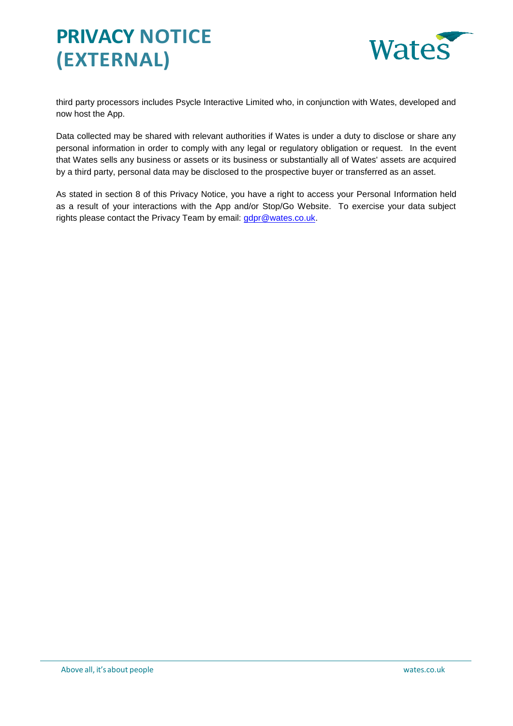

third party processors includes Psycle Interactive Limited who, in conjunction with Wates, developed and now host the App.

Data collected may be shared with relevant authorities if Wates is under a duty to disclose or share any personal information in order to comply with any legal or regulatory obligation or request. In the event that Wates sells any business or assets or its business or substantially all of Wates' assets are acquired by a third party, personal data may be disclosed to the prospective buyer or transferred as an asset.

As stated in section 8 of this Privacy Notice, you have a right to access your Personal Information held as a result of your interactions with the App and/or Stop/Go Website. To exercise your data subject rights please contact the Privacy Team by email: [gdpr@wates.co.uk.](mailto:gdpr@wates.co.uk)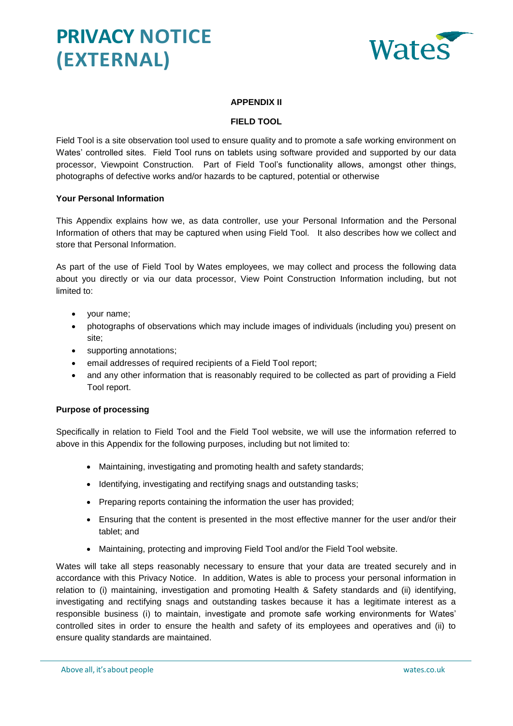

## **APPENDIX II**

## **FIELD TOOL**

Field Tool is a site observation tool used to ensure quality and to promote a safe working environment on Wates' controlled sites. Field Tool runs on tablets using software provided and supported by our data processor, Viewpoint Construction. Part of Field Tool's functionality allows, amongst other things, photographs of defective works and/or hazards to be captured, potential or otherwise

#### **Your Personal Information**

This Appendix explains how we, as data controller, use your Personal Information and the Personal Information of others that may be captured when using Field Tool. It also describes how we collect and store that Personal Information.

As part of the use of Field Tool by Wates employees, we may collect and process the following data about you directly or via our data processor, View Point Construction Information including, but not limited to:

- your name;
- photographs of observations which may include images of individuals (including you) present on site;
- supporting annotations;
- email addresses of required recipients of a Field Tool report;
- and any other information that is reasonably required to be collected as part of providing a Field Tool report.

### **Purpose of processing**

Specifically in relation to Field Tool and the Field Tool website, we will use the information referred to above in this Appendix for the following purposes, including but not limited to:

- Maintaining, investigating and promoting health and safety standards;
- Identifying, investigating and rectifying snags and outstanding tasks;
- Preparing reports containing the information the user has provided;
- Ensuring that the content is presented in the most effective manner for the user and/or their tablet; and
- Maintaining, protecting and improving Field Tool and/or the Field Tool website.

Wates will take all steps reasonably necessary to ensure that your data are treated securely and in accordance with this Privacy Notice. In addition, Wates is able to process your personal information in relation to (i) maintaining, investigation and promoting Health & Safety standards and (ii) identifying, investigating and rectifying snags and outstanding taskes because it has a legitimate interest as a responsible business (i) to maintain, investigate and promote safe working environments for Wates' controlled sites in order to ensure the health and safety of its employees and operatives and (ii) to ensure quality standards are maintained.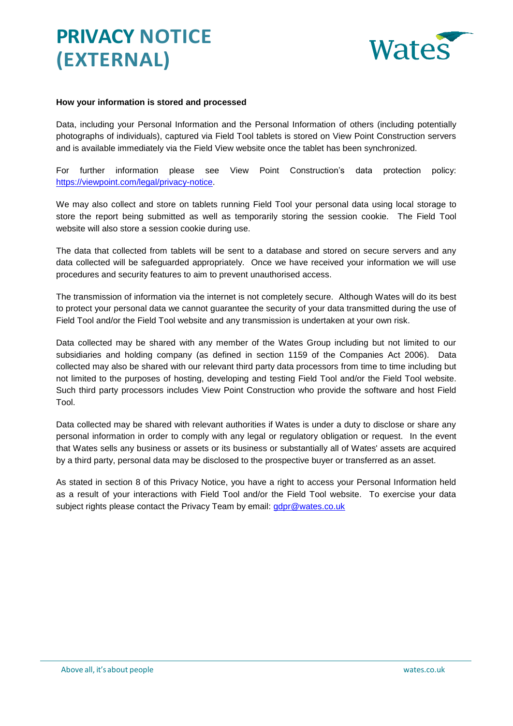

## **How your information is stored and processed**

Data, including your Personal Information and the Personal Information of others (including potentially photographs of individuals), captured via Field Tool tablets is stored on View Point Construction servers and is available immediately via the Field View website once the tablet has been synchronized.

For further information please see View Point Construction's data protection policy: [https://viewpoint.com/legal/privacy-notice.](https://viewpoint.com/legal/privacy-notice)

We may also collect and store on tablets running Field Tool your personal data using local storage to store the report being submitted as well as temporarily storing the session cookie. The Field Tool website will also store a session cookie during use.

The data that collected from tablets will be sent to a database and stored on secure servers and any data collected will be safeguarded appropriately. Once we have received your information we will use procedures and security features to aim to prevent unauthorised access.

The transmission of information via the internet is not completely secure. Although Wates will do its best to protect your personal data we cannot guarantee the security of your data transmitted during the use of Field Tool and/or the Field Tool website and any transmission is undertaken at your own risk.

Data collected may be shared with any member of the Wates Group including but not limited to our subsidiaries and holding company (as defined in section 1159 of the Companies Act 2006). Data collected may also be shared with our relevant third party data processors from time to time including but not limited to the purposes of hosting, developing and testing Field Tool and/or the Field Tool website. Such third party processors includes View Point Construction who provide the software and host Field Tool.

Data collected may be shared with relevant authorities if Wates is under a duty to disclose or share any personal information in order to comply with any legal or regulatory obligation or request. In the event that Wates sells any business or assets or its business or substantially all of Wates' assets are acquired by a third party, personal data may be disclosed to the prospective buyer or transferred as an asset.

As stated in section [8](#page-3-0) of this Privacy Notice, you have a right to access your Personal Information held as a result of your interactions with Field Tool and/or the Field Tool website. To exercise your data subject rights please contact the Privacy Team by email: [gdpr@wates.co.uk](mailto:gdpr@wates.co.uk)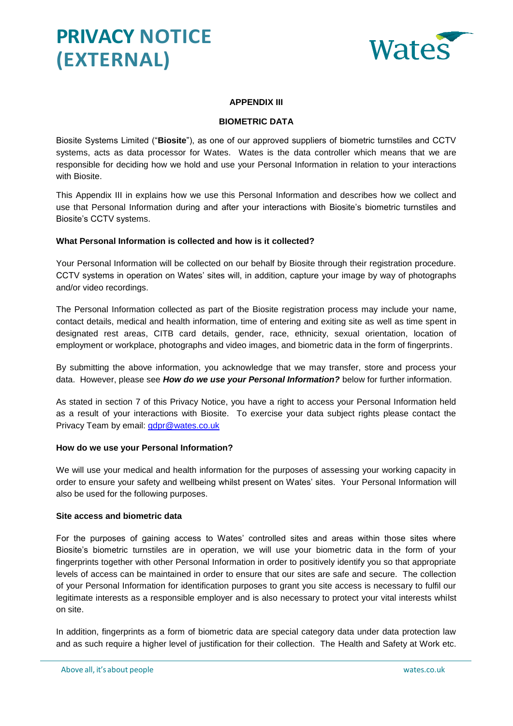

## **APPENDIX III**

## **BIOMETRIC DATA**

Biosite Systems Limited ("**Biosite**"), as one of our approved suppliers of biometric turnstiles and CCTV systems, acts as data processor for Wates. Wates is the data controller which means that we are responsible for deciding how we hold and use your Personal Information in relation to your interactions with Biosite.

This Appendix III in explains how we use this Personal Information and describes how we collect and use that Personal Information during and after your interactions with Biosite's biometric turnstiles and Biosite's CCTV systems.

### **What Personal Information is collected and how is it collected?**

Your Personal Information will be collected on our behalf by Biosite through their registration procedure. CCTV systems in operation on Wates' sites will, in addition, capture your image by way of photographs and/or video recordings.

The Personal Information collected as part of the Biosite registration process may include your name, contact details, medical and health information, time of entering and exiting site as well as time spent in designated rest areas, CITB card details, gender, race, ethnicity, sexual orientation, location of employment or workplace, photographs and video images, and biometric data in the form of fingerprints.

By submitting the above information, you acknowledge that we may transfer, store and process your data. However, please see *How do we use your Personal Information?* below for further information.

As stated in section [7](#page-3-1) of this Privacy Notice, you have a right to access your Personal Information held as a result of your interactions with Biosite. To exercise your data subject rights please contact the Privacy Team by email: [gdpr@wates.co.uk](mailto:gdpr@wates.co.uk)

### **How do we use your Personal Information?**

We will use your medical and health information for the purposes of assessing your working capacity in order to ensure your safety and wellbeing whilst present on Wates' sites. Your Personal Information will also be used for the following purposes.

#### **Site access and biometric data**

For the purposes of gaining access to Wates' controlled sites and areas within those sites where Biosite's biometric turnstiles are in operation, we will use your biometric data in the form of your fingerprints together with other Personal Information in order to positively identify you so that appropriate levels of access can be maintained in order to ensure that our sites are safe and secure. The collection of your Personal Information for identification purposes to grant you site access is necessary to fulfil our legitimate interests as a responsible employer and is also necessary to protect your vital interests whilst on site.

In addition, fingerprints as a form of biometric data are special category data under data protection law and as such require a higher level of justification for their collection. The Health and Safety at Work etc.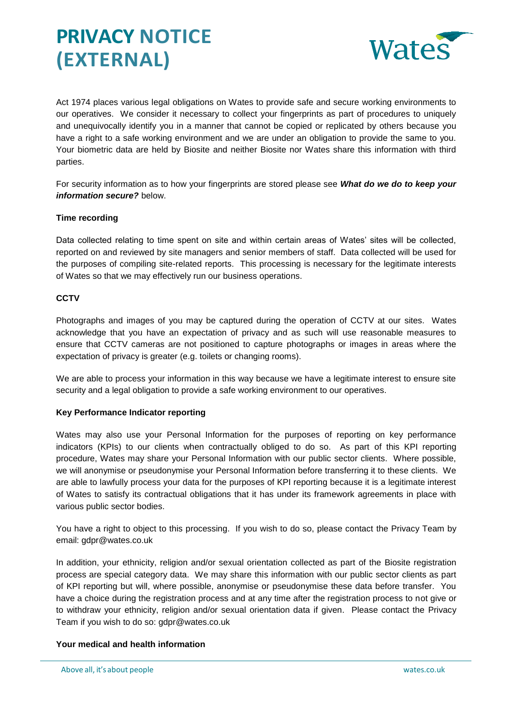

Act 1974 places various legal obligations on Wates to provide safe and secure working environments to our operatives. We consider it necessary to collect your fingerprints as part of procedures to uniquely and unequivocally identify you in a manner that cannot be copied or replicated by others because you have a right to a safe working environment and we are under an obligation to provide the same to you. Your biometric data are held by Biosite and neither Biosite nor Wates share this information with third parties.

For security information as to how your fingerprints are stored please see *What do we do to keep your information secure?* below.

## **Time recording**

Data collected relating to time spent on site and within certain areas of Wates' sites will be collected, reported on and reviewed by site managers and senior members of staff. Data collected will be used for the purposes of compiling site-related reports. This processing is necessary for the legitimate interests of Wates so that we may effectively run our business operations.

### **CCTV**

Photographs and images of you may be captured during the operation of CCTV at our sites. Wates acknowledge that you have an expectation of privacy and as such will use reasonable measures to ensure that CCTV cameras are not positioned to capture photographs or images in areas where the expectation of privacy is greater (e.g. toilets or changing rooms).

We are able to process your information in this way because we have a legitimate interest to ensure site security and a legal obligation to provide a safe working environment to our operatives.

### **Key Performance Indicator reporting**

Wates may also use your Personal Information for the purposes of reporting on key performance indicators (KPIs) to our clients when contractually obliged to do so. As part of this KPI reporting procedure, Wates may share your Personal Information with our public sector clients. Where possible, we will anonymise or pseudonymise your Personal Information before transferring it to these clients. We are able to lawfully process your data for the purposes of KPI reporting because it is a legitimate interest of Wates to satisfy its contractual obligations that it has under its framework agreements in place with various public sector bodies.

You have a right to object to this processing. If you wish to do so, please contact the Privacy Team by email: gdpr@wates.co.uk

In addition, your ethnicity, religion and/or sexual orientation collected as part of the Biosite registration process are special category data. We may share this information with our public sector clients as part of KPI reporting but will, where possible, anonymise or pseudonymise these data before transfer. You have a choice during the registration process and at any time after the registration process to not give or to withdraw your ethnicity, religion and/or sexual orientation data if given. Please contact the Privacy Team if you wish to do so: gdpr@wates.co.uk

### **Your medical and health information**